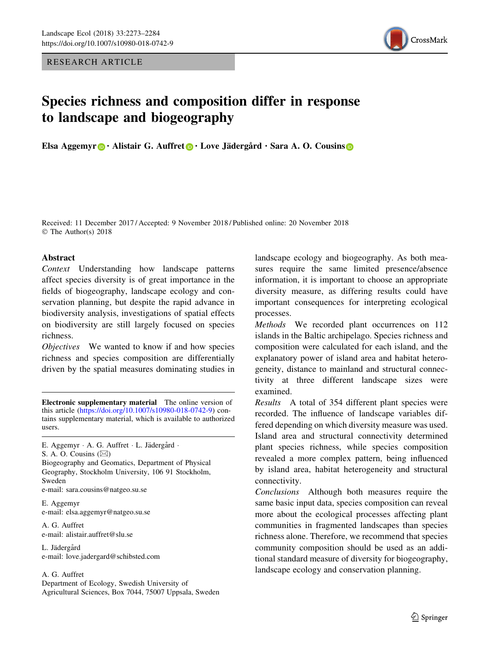RESEARCH ARTICLE



# Species richness and composition differ in response to landscape and biogeography

Elsa Aggemyr  $\bigcirc$  · Alistair G. Auffret  $\bigcirc$  · Love Jädergård · Sara A. O. Cousins  $\bigcirc$ 

Received: 11 December 2017 / Accepted: 9 November 2018 / Published online: 20 November 2018 © The Author(s) 2018

## Abstract

Context Understanding how landscape patterns affect species diversity is of great importance in the fields of biogeography, landscape ecology and conservation planning, but despite the rapid advance in biodiversity analysis, investigations of spatial effects on biodiversity are still largely focused on species richness.

Objectives We wanted to know if and how species richness and species composition are differentially driven by the spatial measures dominating studies in

E. Aggemyr · A. G. Auffret · L. Jädergård · S. A. O. Cousins  $(\boxtimes)$ Biogeography and Geomatics, Department of Physical Geography, Stockholm University, 106 91 Stockholm, Sweden e-mail: sara.cousins@natgeo.su.se

E. Aggemyr e-mail: elsa.aggemyr@natgeo.su.se

A. G. Auffret e-mail: alistair.auffret@slu.se

L. Jädergård e-mail: love.jadergard@schibsted.com

#### A. G. Auffret

Department of Ecology, Swedish University of Agricultural Sciences, Box 7044, 75007 Uppsala, Sweden landscape ecology and biogeography. As both measures require the same limited presence/absence information, it is important to choose an appropriate diversity measure, as differing results could have important consequences for interpreting ecological processes.

Methods We recorded plant occurrences on 112 islands in the Baltic archipelago. Species richness and composition were calculated for each island, and the explanatory power of island area and habitat heterogeneity, distance to mainland and structural connectivity at three different landscape sizes were examined.

Results A total of 354 different plant species were recorded. The influence of landscape variables differed depending on which diversity measure was used. Island area and structural connectivity determined plant species richness, while species composition revealed a more complex pattern, being influenced by island area, habitat heterogeneity and structural connectivity.

Conclusions Although both measures require the same basic input data, species composition can reveal more about the ecological processes affecting plant communities in fragmented landscapes than species richness alone. Therefore, we recommend that species community composition should be used as an additional standard measure of diversity for biogeography, landscape ecology and conservation planning.

Electronic supplementary material The online version of this article [\(https://doi.org/10.1007/s10980-018-0742-9](https://doi.org/10.1007/s10980-018-0742-9)) contains supplementary material, which is available to authorized users.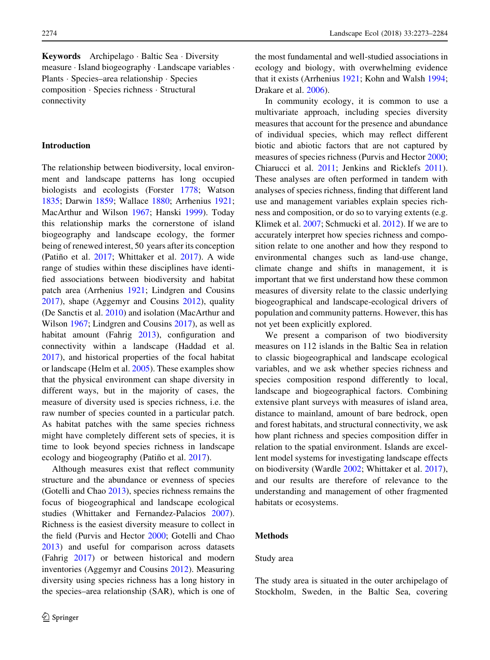Keywords Archipelago · Baltic Sea · Diversity measure - Island biogeography - Landscape variables - Plants - Species–area relationship - Species composition - Species richness - Structural connectivity

## Introduction

The relationship between biodiversity, local environment and landscape patterns has long occupied biologists and ecologists (Forster [1778](#page-10-0); Watson [1835;](#page-11-0) Darwin [1859;](#page-10-0) Wallace [1880;](#page-11-0) Arrhenius [1921](#page-9-0); MacArthur and Wilson [1967](#page-10-0); Hanski [1999\)](#page-10-0). Today this relationship marks the cornerstone of island biogeography and landscape ecology, the former being of renewed interest, 50 years after its conception (Patiño et al. [2017](#page-11-0); Whittaker et al. 2017). A wide range of studies within these disciplines have identified associations between biodiversity and habitat patch area (Arrhenius [1921](#page-9-0); Lindgren and Cousins [2017\)](#page-10-0), shape (Aggemyr and Cousins [2012](#page-9-0)), quality (De Sanctis et al. [2010\)](#page-10-0) and isolation (MacArthur and Wilson [1967](#page-10-0); Lindgren and Cousins [2017\)](#page-10-0), as well as habitat amount (Fahrig [2013\)](#page-10-0), configuration and connectivity within a landscape (Haddad et al. [2017\)](#page-10-0), and historical properties of the focal habitat or landscape (Helm et al. [2005](#page-10-0)). These examples show that the physical environment can shape diversity in different ways, but in the majority of cases, the measure of diversity used is species richness, i.e. the raw number of species counted in a particular patch. As habitat patches with the same species richness might have completely different sets of species, it is time to look beyond species richness in landscape ecology and biogeography (Patiño et al. [2017\)](#page-11-0).

Although measures exist that reflect community structure and the abundance or evenness of species (Gotelli and Chao [2013\)](#page-10-0), species richness remains the focus of biogeographical and landscape ecological studies (Whittaker and Fernandez-Palacios [2007](#page-11-0)). Richness is the easiest diversity measure to collect in the field (Purvis and Hector [2000](#page-11-0); Gotelli and Chao [2013\)](#page-10-0) and useful for comparison across datasets (Fahrig [2017\)](#page-10-0) or between historical and modern inventories (Aggemyr and Cousins [2012\)](#page-9-0). Measuring diversity using species richness has a long history in the species–area relationship (SAR), which is one of the most fundamental and well-studied associations in ecology and biology, with overwhelming evidence that it exists (Arrhenius [1921](#page-9-0); Kohn and Walsh [1994;](#page-10-0) Drakare et al. [2006](#page-10-0)).

In community ecology, it is common to use a multivariate approach, including species diversity measures that account for the presence and abundance of individual species, which may reflect different biotic and abiotic factors that are not captured by measures of species richness (Purvis and Hector [2000](#page-11-0); Chiarucci et al. [2011](#page-9-0); Jenkins and Ricklefs [2011](#page-10-0)). These analyses are often performed in tandem with analyses of species richness, finding that different land use and management variables explain species richness and composition, or do so to varying extents (e.g. Klimek et al. [2007;](#page-10-0) Schmucki et al. [2012](#page-11-0)). If we are to accurately interpret how species richness and composition relate to one another and how they respond to environmental changes such as land-use change, climate change and shifts in management, it is important that we first understand how these common measures of diversity relate to the classic underlying biogeographical and landscape-ecological drivers of population and community patterns. However, this has not yet been explicitly explored.

We present a comparison of two biodiversity measures on 112 islands in the Baltic Sea in relation to classic biogeographical and landscape ecological variables, and we ask whether species richness and species composition respond differently to local, landscape and biogeographical factors. Combining extensive plant surveys with measures of island area, distance to mainland, amount of bare bedrock, open and forest habitats, and structural connectivity, we ask how plant richness and species composition differ in relation to the spatial environment. Islands are excellent model systems for investigating landscape effects on biodiversity (Wardle [2002;](#page-11-0) Whittaker et al. [2017](#page-11-0)), and our results are therefore of relevance to the understanding and management of other fragmented habitats or ecosystems.

## Methods

## Study area

The study area is situated in the outer archipelago of Stockholm, Sweden, in the Baltic Sea, covering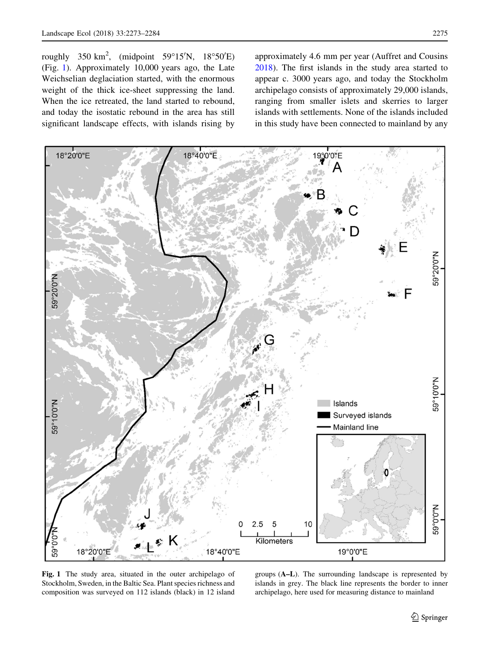<span id="page-2-0"></span>roughly  $350 \text{ km}^2$ , (midpoint  $59^{\circ}15^{\prime}\text{N}$ ,  $18^{\circ}50^{\prime}\text{E}$ ) (Fig. 1). Approximately 10,000 years ago, the Late Weichselian deglaciation started, with the enormous weight of the thick ice-sheet suppressing the land. When the ice retreated, the land started to rebound, and today the isostatic rebound in the area has still significant landscape effects, with islands rising by approximately 4.6 mm per year (Auffret and Cousins [2018\)](#page-9-0). The first islands in the study area started to appear c. 3000 years ago, and today the Stockholm archipelago consists of approximately 29,000 islands, ranging from smaller islets and skerries to larger islands with settlements. None of the islands included in this study have been connected to mainland by any



Fig. 1 The study area, situated in the outer archipelago of Stockholm, Sweden, in the Baltic Sea. Plant species richness and composition was surveyed on 112 islands (black) in 12 island

groups (A–L). The surrounding landscape is represented by islands in grey. The black line represents the border to inner archipelago, here used for measuring distance to mainland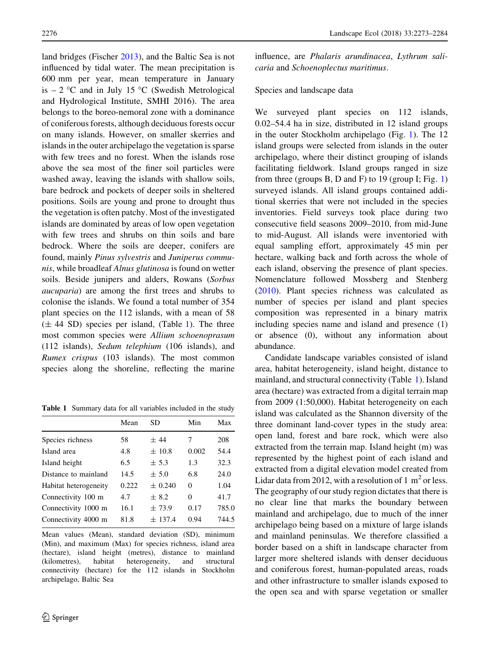land bridges (Fischer [2013\)](#page-10-0), and the Baltic Sea is not influenced by tidal water. The mean precipitation is 600 mm per year, mean temperature in January is  $-2$  °C and in July 15 °C (Swedish Metrological and Hydrological Institute, SMHI 2016). The area belongs to the boreo-nemoral zone with a dominance of coniferous forests, although deciduous forests occur on many islands. However, on smaller skerries and islands in the outer archipelago the vegetation is sparse with few trees and no forest. When the islands rose above the sea most of the finer soil particles were washed away, leaving the islands with shallow soils, bare bedrock and pockets of deeper soils in sheltered positions. Soils are young and prone to drought thus the vegetation is often patchy. Most of the investigated islands are dominated by areas of low open vegetation with few trees and shrubs on thin soils and bare bedrock. Where the soils are deeper, conifers are found, mainly Pinus sylvestris and Juniperus communis, while broadleaf Alnus glutinosa is found on wetter soils. Beside junipers and alders, Rowans (Sorbus aucuparia) are among the first trees and shrubs to colonise the islands. We found a total number of 354 plant species on the 112 islands, with a mean of 58  $(\pm 44$  SD) species per island, (Table 1). The three most common species were Allium schoenoprasum (112 islands), Sedum telephium (106 islands), and Rumex crispus (103 islands). The most common species along the shoreline, reflecting the marine

Table 1 Summary data for all variables included in the study

|                       | Mean  | SD          | Min   | Max   |
|-----------------------|-------|-------------|-------|-------|
| Species richness      | 58    | ±44         | 7     | 208   |
| Island area           | 4.8   | $\pm$ 10.8  | 0.002 | 54.4  |
| Island height         | 6.5   | ± 5.3       | 1.3   | 32.3  |
| Distance to mainland  | 14.5  | ± 5.0       | 6.8   | 24.0  |
| Habitat heterogeneity | 0.222 | $\pm 0.240$ | 0     | 1.04  |
| Connectivity 100 m    | 4.7   | ± 8.2       | 0     | 41.7  |
| Connectivity 1000 m   | 16.1  | $\pm 73.9$  | 0.17  | 785.0 |
| Connectivity 4000 m   | 81.8  | ± 137.4     | 0.94  | 744.5 |
|                       |       |             |       |       |

Mean values (Mean), standard deviation (SD), minimum (Min), and maximum (Max) for species richness, island area (hectare), island height (metres), distance to mainland (kilometres), habitat heterogeneity, and structural connectivity (hectare) for the 112 islands in Stockholm archipelago, Baltic Sea

influence, are Phalaris arundinacea, Lythrum salicaria and Schoenoplectus maritimus.

## Species and landscape data

We surveyed plant species on 112 islands, 0.02–54.4 ha in size, distributed in 12 island groups in the outer Stockholm archipelago (Fig. [1\)](#page-2-0). The 12 island groups were selected from islands in the outer archipelago, where their distinct grouping of islands facilitating fieldwork. Island groups ranged in size from three (groups B, D and F) to 19 (group I; Fig. [1\)](#page-2-0) surveyed islands. All island groups contained additional skerries that were not included in the species inventories. Field surveys took place during two consecutive field seasons 2009–2010, from mid-June to mid-August. All islands were inventoried with equal sampling effort, approximately 45 min per hectare, walking back and forth across the whole of each island, observing the presence of plant species. Nomenclature followed Mossberg and Stenberg [\(2010](#page-10-0)). Plant species richness was calculated as number of species per island and plant species composition was represented in a binary matrix including species name and island and presence (1) or absence (0), without any information about abundance.

Candidate landscape variables consisted of island area, habitat heterogeneity, island height, distance to mainland, and structural connectivity (Table 1). Island area (hectare) was extracted from a digital terrain map from 2009 (1:50,000). Habitat heterogeneity on each island was calculated as the Shannon diversity of the three dominant land-cover types in the study area: open land, forest and bare rock, which were also extracted from the terrain map. Island height (m) was represented by the highest point of each island and extracted from a digital elevation model created from Lidar data from 2012, with a resolution of 1  $m<sup>2</sup>$  or less. The geography of our study region dictates that there is no clear line that marks the boundary between mainland and archipelago, due to much of the inner archipelago being based on a mixture of large islands and mainland peninsulas. We therefore classified a border based on a shift in landscape character from larger more sheltered islands with denser deciduous and coniferous forest, human-populated areas, roads and other infrastructure to smaller islands exposed to the open sea and with sparse vegetation or smaller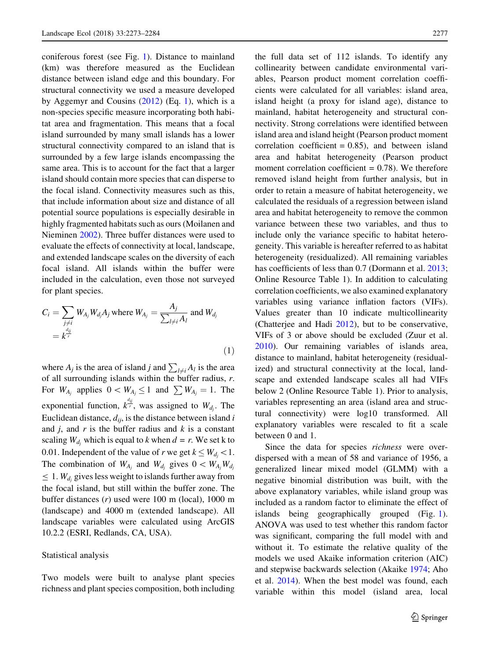coniferous forest (see Fig. [1](#page-2-0)). Distance to mainland (km) was therefore measured as the Euclidean distance between island edge and this boundary. For structural connectivity we used a measure developed by Aggemyr and Cousins  $(2012)$  $(2012)$  (Eq. 1), which is a non-species specific measure incorporating both habitat area and fragmentation. This means that a focal island surrounded by many small islands has a lower structural connectivity compared to an island that is surrounded by a few large islands encompassing the same area. This is to account for the fact that a larger island should contain more species that can disperse to the focal island. Connectivity measures such as this, that include information about size and distance of all potential source populations is especially desirable in highly fragmented habitats such as ours (Moilanen and Nieminen [2002](#page-10-0)). Three buffer distances were used to evaluate the effects of connectivity at local, landscape, and extended landscape scales on the diversity of each focal island. All islands within the buffer were included in the calculation, even those not surveyed for plant species.

$$
C_i = \sum_{\substack{j \neq i \\ j \neq j}} W_{A_j} W_{d_j} A_j \text{ where } W_{A_j} = \frac{A_j}{\sum_{l \neq i} A_l} \text{ and } W_{d_j}
$$

$$
= k^{\frac{d_{ij}}{r}}
$$
(1)

where  $A_j$  is the area of island j and  $\sum_{l \neq i} A_l$  is the area of all surrounding islands within the buffer radius, r. For  $W_{A_j}$  applies  $0 \lt W_{A_j} \leq 1$  and  $\sum W_{A_j} = 1$ . The exponential function,  $k^{\frac{d_{ij}}{r}}$ , was assigned to  $W_{d_j}$ . The Euclidean distance,  $d_{ij}$ , is the distance between island i and  $j$ , and  $r$  is the buffer radius and  $k$  is a constant scaling  $W_{d_i}$  which is equal to k when  $d = r$ . We set k to 0.01. Independent of the value of r we get  $k \leq W_{d_j} < 1$ . The combination of  $W_{A_j}$  and  $W_{d_j}$  gives  $0 \lt W_{A_j} W_{d_j}$  $\leq 1$ . W<sub>di</sub> gives less weight to islands further away from the focal island, but still within the buffer zone. The buffer distances (r) used were 100 m (local), 1000 m (landscape) and 4000 m (extended landscape). All landscape variables were calculated using ArcGIS 10.2.2 (ESRI, Redlands, CA, USA).

### Statistical analysis

Two models were built to analyse plant species richness and plant species composition, both including the full data set of 112 islands. To identify any collinearity between candidate environmental variables, Pearson product moment correlation coefficients were calculated for all variables: island area, island height (a proxy for island age), distance to mainland, habitat heterogeneity and structural connectivity. Strong correlations were identified between island area and island height (Pearson product moment correlation coefficient  $= 0.85$ , and between island area and habitat heterogeneity (Pearson product moment correlation coefficient  $= 0.78$ ). We therefore removed island height from further analysis, but in order to retain a measure of habitat heterogeneity, we calculated the residuals of a regression between island area and habitat heterogeneity to remove the common variance between these two variables, and thus to include only the variance specific to habitat heterogeneity. This variable is hereafter referred to as habitat heterogeneity (residualized). All remaining variables has coefficients of less than 0.7 (Dormann et al. [2013;](#page-10-0) Online Resource Table 1). In addition to calculating correlation coefficients, we also examined explanatory variables using variance inflation factors (VIFs). Values greater than 10 indicate multicollinearity (Chatterjee and Hadi [2012](#page-9-0)), but to be conservative, VIFs of 3 or above should be excluded (Zuur et al. [2010\)](#page-11-0). Our remaining variables of islands area, distance to mainland, habitat heterogeneity (residualized) and structural connectivity at the local, landscape and extended landscape scales all had VIFs below 2 (Online Resource Table 1). Prior to analysis, variables representing an area (island area and structural connectivity) were log10 transformed. All explanatory variables were rescaled to fit a scale between 0 and 1.

Since the data for species *richness* were overdispersed with a mean of 58 and variance of 1956, a generalized linear mixed model (GLMM) with a negative binomial distribution was built, with the above explanatory variables, while island group was included as a random factor to eliminate the effect of islands being geographically grouped (Fig. [1](#page-2-0)). ANOVA was used to test whether this random factor was significant, comparing the full model with and without it. To estimate the relative quality of the models we used Akaike information criterion (AIC) and stepwise backwards selection (Akaike [1974;](#page-9-0) Aho et al. [2014\)](#page-9-0). When the best model was found, each variable within this model (island area, local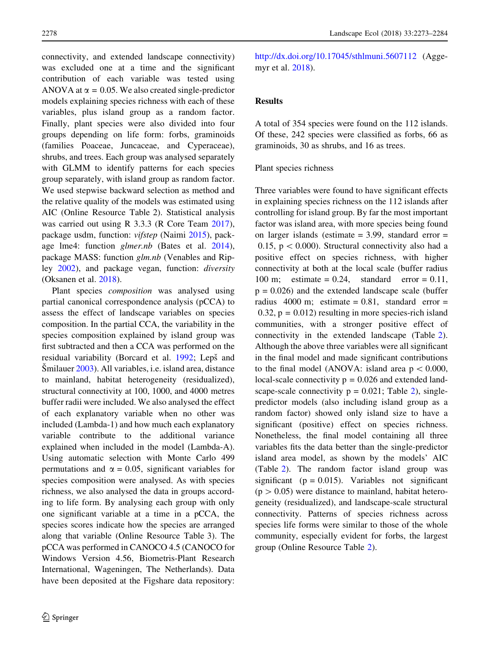connectivity, and extended landscape connectivity) was excluded one at a time and the significant contribution of each variable was tested using ANOVA at  $\alpha$  = 0.05. We also created single-predictor models explaining species richness with each of these variables, plus island group as a random factor. Finally, plant species were also divided into four groups depending on life form: forbs, graminoids (families Poaceae, Juncaceae, and Cyperaceae), shrubs, and trees. Each group was analysed separately with GLMM to identify patterns for each species group separately, with island group as random factor. We used stepwise backward selection as method and the relative quality of the models was estimated using AIC (Online Resource Table 2). Statistical analysis was carried out using R 3.3.3 (R Core Team [2017](#page-11-0)), package usdm, function: vifstep (Naimi [2015\)](#page-10-0), package lme4: function glmer.nb (Bates et al. [2014](#page-9-0)), package MASS: function glm.nb (Venables and Ripley [2002](#page-11-0)), and package vegan, function: diversity (Oksanen et al. [2018](#page-10-0)).

Plant species composition was analysed using partial canonical correspondence analysis (pCCA) to assess the effect of landscape variables on species composition. In the partial CCA, the variability in the species composition explained by island group was first subtracted and then a CCA was performed on the residual variability (Borcard et al. [1992;](#page-9-0) Lepš and Smilauer [2003\)](#page-10-0). All variables, i.e. island area, distance to mainland, habitat heterogeneity (residualized), structural connectivity at 100, 1000, and 4000 metres buffer radii were included. We also analysed the effect of each explanatory variable when no other was included (Lambda-1) and how much each explanatory variable contribute to the additional variance explained when included in the model (Lambda-A). Using automatic selection with Monte Carlo 499 permutations and  $\alpha = 0.05$ , significant variables for species composition were analysed. As with species richness, we also analysed the data in groups according to life form. By analysing each group with only one significant variable at a time in a pCCA, the species scores indicate how the species are arranged along that variable (Online Resource Table 3). The pCCA was performed in CANOCO 4.5 (CANOCO for Windows Version 4.56, Biometris-Plant Research International, Wageningen, The Netherlands). Data have been deposited at the Figshare data repository: <http://dx.doi.org/10.17045/sthlmuni.5607112> (Aggemyr et al. [2018](#page-9-0)).

# Results

A total of 354 species were found on the 112 islands. Of these, 242 species were classified as forbs, 66 as graminoids, 30 as shrubs, and 16 as trees.

## Plant species richness

Three variables were found to have significant effects in explaining species richness on the 112 islands after controlling for island group. By far the most important factor was island area, with more species being found on larger islands (estimate  $= 3.99$ , standard error  $=$ 0.15,  $p < 0.000$ ). Structural connectivity also had a positive effect on species richness, with higher connectivity at both at the local scale (buffer radius 100 m; estimate  $= 0.24$ , standard error  $= 0.11$ ,  $p = 0.026$ ) and the extended landscape scale (buffer radius 4000 m; estimate =  $0.81$ , standard error =  $0.32$ ,  $p = 0.012$ ) resulting in more species-rich island communities, with a stronger positive effect of connectivity in the extended landscape (Table [2](#page-6-0)). Although the above three variables were all significant in the final model and made significant contributions to the final model (ANOVA: island area  $p < 0.000$ , local-scale connectivity  $p = 0.026$  and extended landscape-scale connectivity  $p = 0.021$ ; Table [2\)](#page-6-0), singlepredictor models (also including island group as a random factor) showed only island size to have a significant (positive) effect on species richness. Nonetheless, the final model containing all three variables fits the data better than the single-predictor island area model, as shown by the models' AIC (Table [2](#page-6-0)). The random factor island group was significant ( $p = 0.015$ ). Variables not significant  $(p > 0.05)$  were distance to mainland, habitat heterogeneity (residualized), and landscape-scale structural connectivity. Patterns of species richness across species life forms were similar to those of the whole community, especially evident for forbs, the largest group (Online Resource Table [2\)](#page-6-0).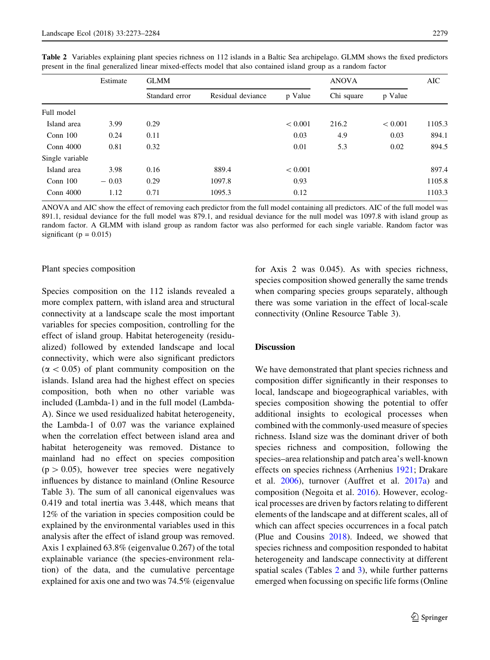|                 | Estimate | <b>GLMM</b>    |                   |         | <b>ANOVA</b> |             | AIC    |
|-----------------|----------|----------------|-------------------|---------|--------------|-------------|--------|
|                 |          | Standard error | Residual deviance | p Value | Chi square   | p Value     |        |
| Full model      |          |                |                   |         |              |             |        |
| Island area     | 3.99     | 0.29           |                   | < 0.001 | 216.2        | ${}< 0.001$ | 1105.3 |
| Conn $100$      | 0.24     | 0.11           |                   | 0.03    | 4.9          | 0.03        | 894.1  |
| Conn 4000       | 0.81     | 0.32           |                   | 0.01    | 5.3          | 0.02        | 894.5  |
| Single variable |          |                |                   |         |              |             |        |
| Island area     | 3.98     | 0.16           | 889.4             | < 0.001 |              |             | 897.4  |
| Conn $100$      | $-0.03$  | 0.29           | 1097.8            | 0.93    |              |             | 1105.8 |
| Conn 4000       | 1.12     | 0.71           | 1095.3            | 0.12    |              |             | 1103.3 |

<span id="page-6-0"></span>Table 2 Variables explaining plant species richness on 112 islands in a Baltic Sea archipelago. GLMM shows the fixed predictors present in the final generalized linear mixed-effects model that also contained island group as a random factor

ANOVA and AIC show the effect of removing each predictor from the full model containing all predictors. AIC of the full model was 891.1, residual deviance for the full model was 879.1, and residual deviance for the null model was 1097.8 with island group as random factor. A GLMM with island group as random factor was also performed for each single variable. Random factor was significant ( $p = 0.015$ )

#### Plant species composition

Species composition on the 112 islands revealed a more complex pattern, with island area and structural connectivity at a landscape scale the most important variables for species composition, controlling for the effect of island group. Habitat heterogeneity (residualized) followed by extended landscape and local connectivity, which were also significant predictors  $(\alpha < 0.05)$  of plant community composition on the islands. Island area had the highest effect on species composition, both when no other variable was included (Lambda-1) and in the full model (Lambda-A). Since we used residualized habitat heterogeneity, the Lambda-1 of 0.07 was the variance explained when the correlation effect between island area and habitat heterogeneity was removed. Distance to mainland had no effect on species composition  $(p > 0.05)$ , however tree species were negatively influences by distance to mainland (Online Resource Table 3). The sum of all canonical eigenvalues was 0.419 and total inertia was 3.448, which means that 12% of the variation in species composition could be explained by the environmental variables used in this analysis after the effect of island group was removed. Axis 1 explained 63.8% (eigenvalue 0.267) of the total explainable variance (the species-environment relation) of the data, and the cumulative percentage explained for axis one and two was 74.5% (eigenvalue for Axis 2 was 0.045). As with species richness, species composition showed generally the same trends when comparing species groups separately, although there was some variation in the effect of local-scale connectivity (Online Resource Table 3).

# Discussion

We have demonstrated that plant species richness and composition differ significantly in their responses to local, landscape and biogeographical variables, with species composition showing the potential to offer additional insights to ecological processes when combined with the commonly-used measure of species richness. Island size was the dominant driver of both species richness and composition, following the species–area relationship and patch area's well-known effects on species richness (Arrhenius [1921](#page-9-0); Drakare et al. [2006\)](#page-10-0), turnover (Auffret et al. [2017a\)](#page-9-0) and composition (Negoita et al. [2016](#page-10-0)). However, ecological processes are driven by factors relating to different elements of the landscape and at different scales, all of which can affect species occurrences in a focal patch (Plue and Cousins [2018\)](#page-11-0). Indeed, we showed that species richness and composition responded to habitat heterogeneity and landscape connectivity at different spatial scales (Tables 2 and [3\)](#page-7-0), while further patterns emerged when focussing on specific life forms (Online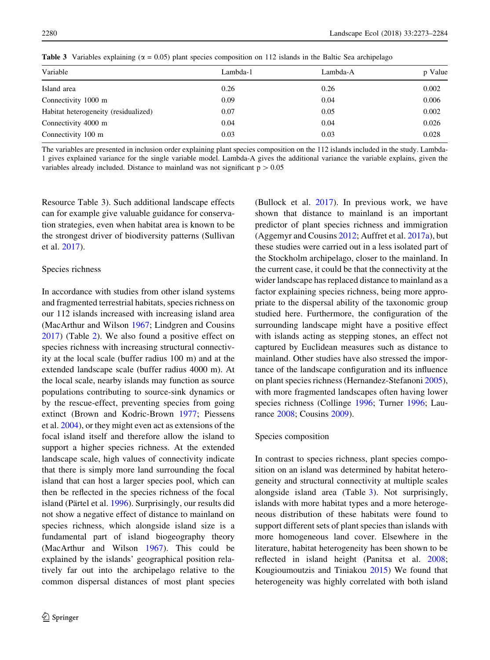| Variable                             | Lambda-1 | Lambda-A | p Value |
|--------------------------------------|----------|----------|---------|
| Island area                          | 0.26     | 0.26     | 0.002   |
| Connectivity 1000 m                  | 0.09     | 0.04     | 0.006   |
| Habitat heterogeneity (residualized) | 0.07     | 0.05     | 0.002   |
| Connectivity 4000 m                  | 0.04     | 0.04     | 0.026   |
| Connectivity 100 m                   | 0.03     | 0.03     | 0.028   |

<span id="page-7-0"></span>**Table 3** Variables explaining ( $\alpha = 0.05$ ) plant species composition on 112 islands in the Baltic Sea archipelago

The variables are presented in inclusion order explaining plant species composition on the 112 islands included in the study. Lambda-1 gives explained variance for the single variable model. Lambda-A gives the additional variance the variable explains, given the variables already included. Distance to mainland was not significant  $p > 0.05$ 

Resource Table 3). Such additional landscape effects can for example give valuable guidance for conservation strategies, even when habitat area is known to be the strongest driver of biodiversity patterns (Sullivan et al. [2017](#page-11-0)).

## Species richness

In accordance with studies from other island systems and fragmented terrestrial habitats, species richness on our 112 islands increased with increasing island area (MacArthur and Wilson [1967;](#page-10-0) Lindgren and Cousins [2017\)](#page-10-0) (Table [2](#page-6-0)). We also found a positive effect on species richness with increasing structural connectivity at the local scale (buffer radius 100 m) and at the extended landscape scale (buffer radius 4000 m). At the local scale, nearby islands may function as source populations contributing to source-sink dynamics or by the rescue-effect, preventing species from going extinct (Brown and Kodric-Brown [1977;](#page-9-0) Piessens et al. [2004\)](#page-11-0), or they might even act as extensions of the focal island itself and therefore allow the island to support a higher species richness. At the extended landscape scale, high values of connectivity indicate that there is simply more land surrounding the focal island that can host a larger species pool, which can then be reflected in the species richness of the focal island (Pärtel et al. [1996](#page-10-0)). Surprisingly, our results did not show a negative effect of distance to mainland on species richness, which alongside island size is a fundamental part of island biogeography theory (MacArthur and Wilson [1967](#page-10-0)). This could be explained by the islands' geographical position relatively far out into the archipelago relative to the common dispersal distances of most plant species (Bullock et al. [2017](#page-9-0)). In previous work, we have shown that distance to mainland is an important predictor of plant species richness and immigration (Aggemyr and Cousins [2012](#page-9-0); Auffret et al. [2017a\)](#page-9-0), but these studies were carried out in a less isolated part of the Stockholm archipelago, closer to the mainland. In the current case, it could be that the connectivity at the wider landscape has replaced distance to mainland as a factor explaining species richness, being more appropriate to the dispersal ability of the taxonomic group studied here. Furthermore, the configuration of the surrounding landscape might have a positive effect with islands acting as stepping stones, an effect not captured by Euclidean measures such as distance to mainland. Other studies have also stressed the importance of the landscape configuration and its influence on plant species richness (Hernandez-Stefanoni [2005](#page-10-0)), with more fragmented landscapes often having lower species richness (Collinge [1996](#page-9-0); Turner [1996;](#page-11-0) Laurance [2008](#page-10-0); Cousins [2009\)](#page-10-0).

### Species composition

In contrast to species richness, plant species composition on an island was determined by habitat heterogeneity and structural connectivity at multiple scales alongside island area (Table 3). Not surprisingly, islands with more habitat types and a more heterogeneous distribution of these habitats were found to support different sets of plant species than islands with more homogeneous land cover. Elsewhere in the literature, habitat heterogeneity has been shown to be reflected in island height (Panitsa et al. [2008](#page-10-0); Kougioumoutzis and Tiniakou [2015](#page-10-0)) We found that heterogeneity was highly correlated with both island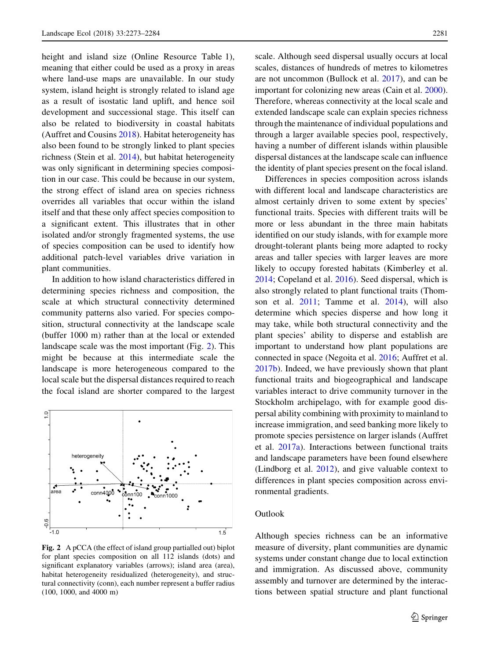height and island size (Online Resource Table 1), meaning that either could be used as a proxy in areas where land-use maps are unavailable. In our study system, island height is strongly related to island age as a result of isostatic land uplift, and hence soil development and successional stage. This itself can also be related to biodiversity in coastal habitats (Auffret and Cousins [2018\)](#page-9-0). Habitat heterogeneity has also been found to be strongly linked to plant species richness (Stein et al. [2014\)](#page-11-0), but habitat heterogeneity was only significant in determining species composition in our case. This could be because in our system, the strong effect of island area on species richness overrides all variables that occur within the island itself and that these only affect species composition to a significant extent. This illustrates that in other isolated and/or strongly fragmented systems, the use of species composition can be used to identify how additional patch-level variables drive variation in plant communities.

In addition to how island characteristics differed in determining species richness and composition, the scale at which structural connectivity determined community patterns also varied. For species composition, structural connectivity at the landscape scale (buffer 1000 m) rather than at the local or extended landscape scale was the most important (Fig. 2). This might be because at this intermediate scale the landscape is more heterogeneous compared to the local scale but the dispersal distances required to reach the focal island are shorter compared to the largest



Fig. 2 A pCCA (the effect of island group partialled out) biplot for plant species composition on all 112 islands (dots) and significant explanatory variables (arrows); island area (area), habitat heterogeneity residualized (heterogeneity), and structural connectivity (conn), each number represent a buffer radius (100, 1000, and 4000 m)

scale. Although seed dispersal usually occurs at local scales, distances of hundreds of metres to kilometres are not uncommon (Bullock et al. [2017\)](#page-9-0), and can be important for colonizing new areas (Cain et al. [2000](#page-9-0)). Therefore, whereas connectivity at the local scale and extended landscape scale can explain species richness through the maintenance of individual populations and through a larger available species pool, respectively, having a number of different islands within plausible dispersal distances at the landscape scale can influence the identity of plant species present on the focal island.

Differences in species composition across islands with different local and landscape characteristics are almost certainly driven to some extent by species' functional traits. Species with different traits will be more or less abundant in the three main habitats identified on our study islands, with for example more drought-tolerant plants being more adapted to rocky areas and taller species with larger leaves are more likely to occupy forested habitats (Kimberley et al. [2014;](#page-10-0) Copeland et al. [2016](#page-9-0)). Seed dispersal, which is also strongly related to plant functional traits (Thomson et al. [2011;](#page-11-0) Tamme et al. [2014](#page-11-0)), will also determine which species disperse and how long it may take, while both structural connectivity and the plant species' ability to disperse and establish are important to understand how plant populations are connected in space (Negoita et al. [2016](#page-10-0); Auffret et al. [2017b\)](#page-9-0). Indeed, we have previously shown that plant functional traits and biogeographical and landscape variables interact to drive community turnover in the Stockholm archipelago, with for example good dispersal ability combining with proximity to mainland to increase immigration, and seed banking more likely to promote species persistence on larger islands (Auffret et al. [2017a](#page-9-0)). Interactions between functional traits and landscape parameters have been found elsewhere (Lindborg et al. [2012](#page-10-0)), and give valuable context to differences in plant species composition across environmental gradients.

# Outlook

Although species richness can be an informative measure of diversity, plant communities are dynamic systems under constant change due to local extinction and immigration. As discussed above, community assembly and turnover are determined by the interactions between spatial structure and plant functional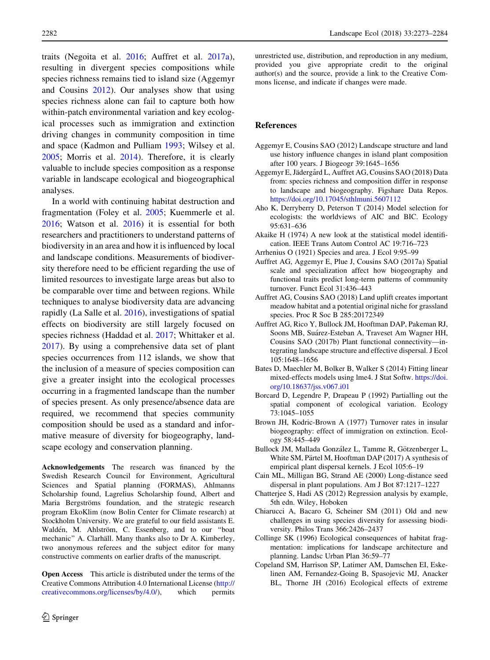<span id="page-9-0"></span>traits (Negoita et al. [2016;](#page-10-0) Auffret et al. 2017a), resulting in divergent species compositions while species richness remains tied to island size (Aggemyr and Cousins 2012). Our analyses show that using species richness alone can fail to capture both how within-patch environmental variation and key ecological processes such as immigration and extinction driving changes in community composition in time and space (Kadmon and Pulliam [1993;](#page-10-0) Wilsey et al. [2005;](#page-11-0) Morris et al. [2014](#page-10-0)). Therefore, it is clearly valuable to include species composition as a response variable in landscape ecological and biogeographical analyses.

In a world with continuing habitat destruction and fragmentation (Foley et al. [2005;](#page-10-0) Kuemmerle et al. [2016;](#page-10-0) Watson et al. [2016](#page-11-0)) it is essential for both researchers and practitioners to understand patterns of biodiversity in an area and how it is influenced by local and landscape conditions. Measurements of biodiversity therefore need to be efficient regarding the use of limited resources to investigate large areas but also to be comparable over time and between regions. While techniques to analyse biodiversity data are advancing rapidly (La Salle et al. [2016\)](#page-10-0), investigations of spatial effects on biodiversity are still largely focused on species richness (Haddad et al. [2017;](#page-10-0) Whittaker et al. [2017\)](#page-11-0). By using a comprehensive data set of plant species occurrences from 112 islands, we show that the inclusion of a measure of species composition can give a greater insight into the ecological processes occurring in a fragmented landscape than the number of species present. As only presence/absence data are required, we recommend that species community composition should be used as a standard and informative measure of diversity for biogeography, landscape ecology and conservation planning.

Acknowledgements The research was financed by the Swedish Research Council for Environment, Agricultural Sciences and Spatial planning (FORMAS), Ahlmanns Scholarship found, Lagrelius Scholarship found, Albert and Maria Bergströms foundation, and the strategic research program EkoKlim (now Bolin Center for Climate research) at Stockholm University. We are grateful to our field assistants E. Waldén, M. Ahlström, C. Essenberg, and to our "boat mechanic" A. Clarhäll. Many thanks also to Dr A. Kimberley, two anonymous referees and the subject editor for many constructive comments on earlier drafts of the manuscript.

Open Access This article is distributed under the terms of the Creative Commons Attribution 4.0 International License ([http://](http://creativecommons.org/licenses/by/4.0/) [creativecommons.org/licenses/by/4.0/\)](http://creativecommons.org/licenses/by/4.0/), which permits unrestricted use, distribution, and reproduction in any medium, provided you give appropriate credit to the original author(s) and the source, provide a link to the Creative Commons license, and indicate if changes were made.

## References

- Aggemyr E, Cousins SAO (2012) Landscape structure and land use history influence changes in island plant composition after 100 years. J Biogeogr 39:1645–1656
- Aggemyr E, Jädergård L, Auffret AG, Cousins SAO (2018) Data from: species richness and composition differ in response to landscape and biogeography. Figshare Data Repos. <https://doi.org/10.17045/sthlmuni.5607112>
- Aho K, Derryberry D, Peterson T (2014) Model selection for ecologists: the worldviews of AIC and BIC. Ecology 95:631–636
- Akaike H (1974) A new look at the statistical model identification. IEEE Trans Autom Control AC 19:716–723
- Arrhenius O (1921) Species and area. J Ecol 9:95–99
- Auffret AG, Aggemyr E, Plue J, Cousins SAO (2017a) Spatial scale and specialization affect how biogeography and functional traits predict long-term patterns of community turnover. Funct Ecol 31:436–443
- Auffret AG, Cousins SAO (2018) Land uplift creates important meadow habitat and a potential original niche for grassland species. Proc R Soc B 285:20172349
- Auffret AG, Rico Y, Bullock JM, Hooftman DAP, Pakeman RJ, Soons MB, Suárez-Esteban A, Traveset Am Wagner HH, Cousins SAO (2017b) Plant functional connectivity—integrating landscape structure and effective dispersal. J Ecol 105:1648–1656
- Bates D, Maechler M, Bolker B, Walker S (2014) Fitting linear mixed-effects models using lme4. J Stat Softw. [https://doi.](https://doi.org/10.18637/jss.v067.i01) [org/10.18637/jss.v067.i01](https://doi.org/10.18637/jss.v067.i01)
- Borcard D, Legendre P, Drapeau P (1992) Partialling out the spatial component of ecological variation. Ecology 73:1045–1055
- Brown JH, Kodric-Brown A (1977) Turnover rates in insular biogeography: effect of immigration on extinction. Ecology 58:445–449
- Bullock JM, Mallada González L, Tamme R, Götzenberger L, White SM, Pärtel M, Hooftman DAP (2017) A synthesis of empirical plant dispersal kernels. J Ecol 105:6–19
- Cain ML, Milligan BG, Strand AE (2000) Long-distance seed dispersal in plant populations. Am J Bot 87:1217–1227
- Chatterjee S, Hadi AS (2012) Regression analysis by example, 5th edn. Wiley, Hoboken
- Chiarucci A, Bacaro G, Scheiner SM (2011) Old and new challenges in using species diversity for assessing biodiversity. Philos Trans 366:2426–2437
- Collinge SK (1996) Ecological consequences of habitat fragmentation: implications for landscape architecture and planning. Landsc Urban Plan 36:59–77
- Copeland SM, Harrison SP, Latimer AM, Damschen EI, Eskelinen AM, Fernandez-Going B, Spasojevic MJ, Anacker BL, Thorne JH (2016) Ecological effects of extreme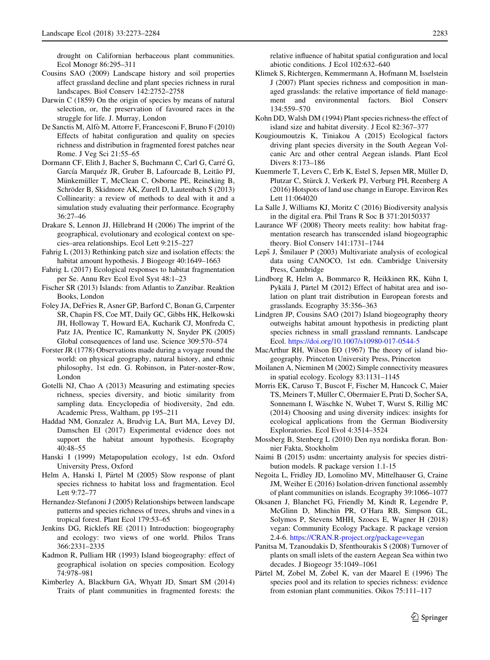<span id="page-10-0"></span>drought on Californian herbaceous plant communities. Ecol Monogr 86:295–311

- Cousins SAO (2009) Landscape history and soil properties affect grassland decline and plant species richness in rural landscapes. Biol Conserv 142:2752–2758
- Darwin C (1859) On the origin of species by means of natural selection, or, the preservation of favoured races in the struggle for life. J. Murray, London
- De Sanctis M, Alfò M, Attorre F, Francesconi F, Bruno F (2010) Effects of habitat configuration and quality on species richness and distribution in fragmented forest patches near Rome. J Veg Sci 21:55–65
- Dormann CF, Elith J, Bacher S, Buchmann C, Carl G, Carré G, García Marquéz JR, Gruber B, Lafourcade B, Leitão PJ, Münkemüller T, McClean C, Osborne PE, Reineking B, Schröder B, Skidmore AK, Zurell D, Lautenbach S (2013) Collinearity: a review of methods to deal with it and a simulation study evaluating their performance. Ecography 36:27–46
- Drakare S, Lennon JJ, Hillebrand H (2006) The imprint of the geographical, evolutionary and ecological context on species–area relationships. Ecol Lett 9:215–227
- Fahrig L (2013) Rethinking patch size and isolation effects: the habitat amount hypothesis. J Biogeogr 40:1649–1663
- Fahrig L (2017) Ecological responses to habitat fragmentation per Se. Annu Rev Ecol Evol Syst 48:1–23
- Fischer SR (2013) Islands: from Atlantis to Zanzibar. Reaktion Books, London
- Foley JA, DeFries R, Asner GP, Barford C, Bonan G, Carpenter SR, Chapin FS, Coe MT, Daily GC, Gibbs HK, Helkowski JH, Holloway T, Howard EA, Kucharik CJ, Monfreda C, Patz JA, Prentice IC, Ramankutty N, Snyder PK (2005) Global consequences of land use. Science 309:570–574
- Forster JR (1778) Observations made during a voyage round the world: on physical geography, natural history, and ethnic philosophy, 1st edn. G. Robinson, in Pater-noster-Row, London
- Gotelli NJ, Chao A (2013) Measuring and estimating species richness, species diversity, and biotic similarity from sampling data. Encyclopedia of biodiversity, 2nd edn. Academic Press, Waltham, pp 195–211
- Haddad NM, Gonzalez A, Brudvig LA, Burt MA, Levey DJ, Damschen EI (2017) Experimental evidence does not support the habitat amount hypothesis. Ecography 40:48–55
- Hanski I (1999) Metapopulation ecology, 1st edn. Oxford University Press, Oxford
- Helm A, Hanski I, Pärtel M (2005) Slow response of plant species richness to habitat loss and fragmentation. Ecol Lett 9:72–77
- Hernandez-Stefanoni J (2005) Relationships between landscape patterns and species richness of trees, shrubs and vines in a tropical forest. Plant Ecol 179:53–65
- Jenkins DG, Ricklefs RE (2011) Introduction: biogeography and ecology: two views of one world. Philos Trans 366:2331–2335
- Kadmon R, Pulliam HR (1993) Island biogeography: effect of geographical isolation on species composition. Ecology 74:978–981
- Kimberley A, Blackburn GA, Whyatt JD, Smart SM (2014) Traits of plant communities in fragmented forests: the

relative influence of habitat spatial configuration and local abiotic conditions. J Ecol 102:632–640

- Klimek S, Richtergen, Kemmermann A, Hofmann M, Isselstein J (2007) Plant species richness and composition in managed grasslands: the relative importance of field management and environmental factors. Biol Conserv 134:559–570
- Kohn DD, Walsh DM (1994) Plant species richness-the effect of island size and habitat diversity. J Ecol 82:367–377
- Kougioumoutzis K, Tiniakou A (2015) Ecological factors driving plant species diversity in the South Aegean Volcanic Arc and other central Aegean islands. Plant Ecol Divers 8:173–186
- Kuemmerle T, Levers C, Erb K, Estel S, Jepsen MR, Müller D, Plutzar C, Stürck J, Verkerk PJ, Verburg PH, Reenberg A (2016) Hotspots of land use change in Europe. Environ Res Lett 11:064020
- La Salle J, Williams KJ, Moritz C (2016) Biodiversity analysis in the digital era. Phil Trans R Soc B 371:20150337
- Laurance WF (2008) Theory meets reality: how habitat fragmentation research has transcended island biogeographic theory. Biol Conserv 141:1731–1744
- Lepš J, Smilauer P (2003) Multivariate analysis of ecological data using CANOCO, 1st edn. Cambridge University Press, Cambridge
- Lindborg R, Helm A, Bommarco R, Heikkinen RK, Kühn I, Pykälä J, Pärtel M (2012) Effect of habitat area and isolation on plant trait distribution in European forests and grasslands. Ecography 35:356–363
- Lindgren JP, Cousins SAO (2017) Island biogeography theory outweighs habitat amount hypothesis in predicting plant species richness in small grassland remnants. Landscape Ecol. <https://doi.org/10.1007/s10980-017-0544-5>
- MacArthur RH, Wilson EO (1967) The theory of island biogeography. Princeton University Press, Princeton
- Moilanen A, Nieminen M (2002) Simple connectivity measures in spatial ecology. Ecology 83:1131–1145
- Morris EK, Caruso T, Buscot F, Fischer M, Hancock C, Maier TS, Meiners T, Müller C, Obermaier E, Prati D, Socher SA, Sonnemann I, Wäschke N, Wubet T, Wurst S, Rillig MC (2014) Choosing and using diversity indices: insights for ecological applications from the German Biodiversity Exploratories. Ecol Evol 4:3514–3524
- Mossberg B, Stenberg L (2010) Den nya nordiska floran. Bonnier Fakta, Stockholm
- Naimi B (2015) usdm: uncertainty analysis for species distribution models. R package version 1.1-15
- Negoita L, Fridley JD, Lomolino MV, Mittelhauser G, Craine JM, Weiher E (2016) Isolation-driven functional assembly of plant communities on islands. Ecography 39:1066–1077
- Oksanen J, Blanchet FG, Friendly M, Kindt R, Legendre P, McGlinn D, Minchin PR, O'Hara RB, Simpson GL, Solymos P, Stevens MHH, Szoecs E, Wagner H (2018) vegan: Community Ecology Package. R package version 2.4-6. [https://CRAN.R-project.org/package=vegan](https://CRAN.R-project.org/package%3dvegan)
- Panitsa M, Tzanoudakis D, Sfenthourakis S (2008) Turnover of plants on small islets of the eastern Aegean Sea within two decades. J Biogeogr 35:1049–1061
- Pärtel M, Zobel M, Zobel K, van der Maarel E (1996) The species pool and its relation to species richness: evidence from estonian plant communities. Oikos 75:111–117